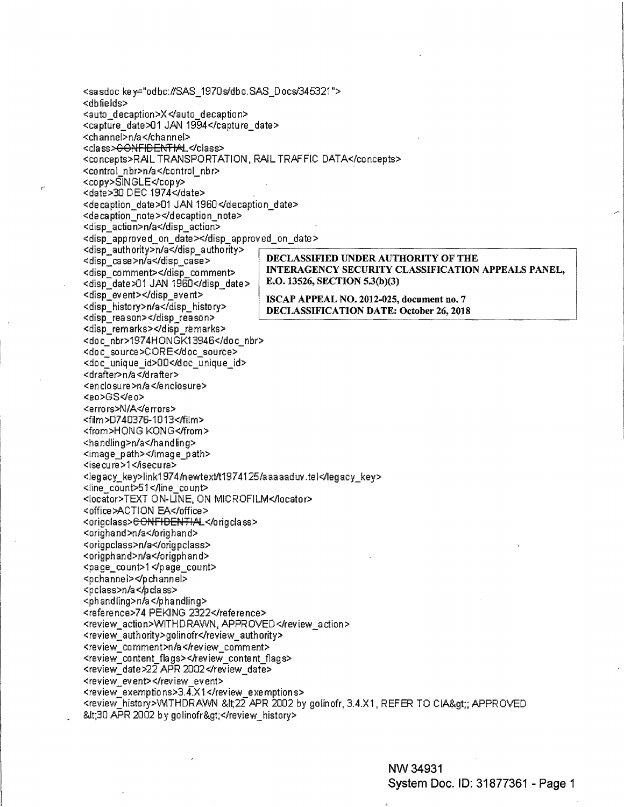<sasdoc key="odbc://SAS\_1970s/dbo.SAS\_Docs/345321"> <dbfields> <auto decaption>X </auto decaption> <capture\_date>01 JAN 1994</capture\_date> <channel>n/a</channel> <class><del>CONFIDENTIA</del>L</class> <concepts>RAL TRANSPORTATION, RAIL TRAFFIC DATA</concepts> <control nbr>n/a</control nbr> <copy>SINGLE</copy> <date>30 DEC 1974</date> <decaption\_date>01 JAN 1960</decaption\_date> <decaption note></decaption note> <disp\_action>n/a</disp\_action> <disp\_approved\_on\_date></disp\_approved\_on\_date> <disp authority>n/a</disp authority> DECLASSIFIED UNDER AUTHORITY OF THE <disp case>n/a</disp case> INTERAGENCY SECURITY CLASSIFICATION APPEALS PANEL, <disp comment></disp comment> E.O. 13526, SECTION 5.3(b)(3) <disp\_date>01 JAN 1960</disp\_date> <disp\_event></disp\_event> ISCAP APPEAL NO. 2012-025, document no. 7 <disp history>n/a</disp history> DECLASSIFICATION DATE: October 26, 2018 <disp reason></disp reason> <disp\_remarks></disp\_remarks> <doc nbr>1974HONGK13946</doc nbr> <doc\_source>CORE</doc\_source> <doc unique id>00</doc unique id> <drafter>n/a</drafter> <enclosure>n/a</enclosure> <eo>GS</eo> <errors>N/A</errors> <film>D740376-1013</film> <from>HONG KONG</from> <handling>n/a</handling> <image\_path></image\_path> <isecure>1</isecure> <legacy\_key>link1974/newtext/t1974125/aaaaaduv.tel</legacy\_key> <line\_count>51</line\_count> <locator>TEXT ON-LINE, ON MICROFILM</locator> <office>ACTION EA</office> <origclass><del>CONFIDENTIAL</del></origclass> <orighand>n/a</orighand> <origpclass>n/a</origpclass> <origphand>n/a</origphand> <page\_count>1</page\_count> <pchannel></pchannel> <pclass>n/a</pclass> <phandling>n/a</phandling> <reference>74 PEKING 2322</reference> <review action>WITHDRAWN, APPROVED</review action> <review authority>golinofr</review authority> <review\_comment>n/a</review\_comment> <review content flags></review content flags> <review date>22 APR 2002</review date> <review event></review event> <review\_exemptions>3.4.X1</review\_exemptions> <review\_history>WITHDRAWN &lt;22 APR 2002 by golinofr, 3.4.X1, REFER TO CIA&gt;; APPROVED <30 APR 2002 by golinofr&gt;</review history>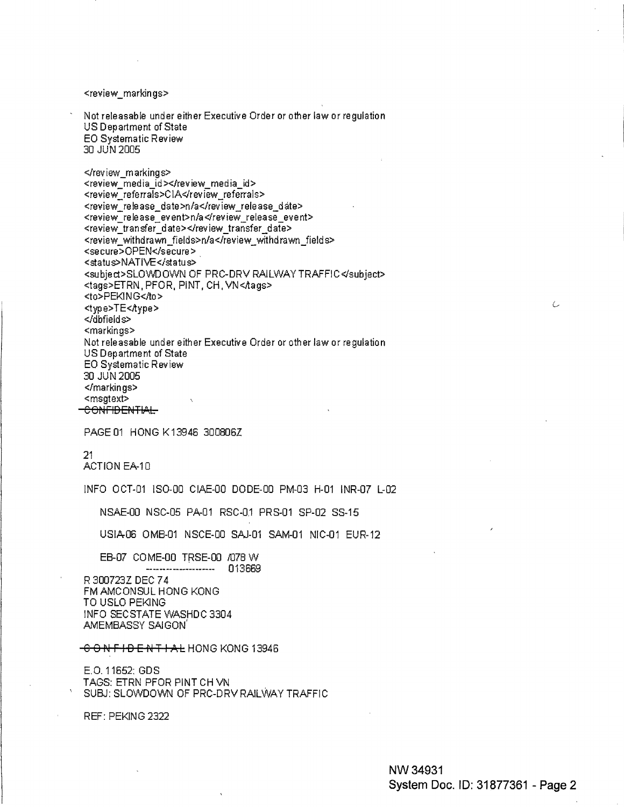<review\_markin gs>

Not releasable under either Executive Order or other law or regulation US Department of State EO Systematic Review 30 JUN 2005

</review\_markings> <review\_media\_id></review\_media\_id> <review\_referrals>CIA</review\_referrals> <review\_release\_date>n/a</review\_release\_date> <review\_release\_event>n/a</review\_release\_event> <review transfer date></review transfer date> <review\_withdrawn\_fields>n/a</review\_withdrawn\_fields> <secure>OPEN</secure> <status>NATIVE</status> <subject>SLOWDOWN OF PRC-DRV RAILWAY TRAFFIC</subject> <tags>ETRN, PFOR, PINT, CH, VN<Aags> <to>PEKING</to> <type>TE<Aype> </dbfields> <markings> Not releasable under either Executive Order or other law or regulation US Department of State EO Systematic Review 30 JUN 2005 </markings> <msgtext> CONFIDENTIAL

PAGE 01 HONG K 13946 300806Z

21 ACTION EA-10

INFO OCT-01 IS0-00 CIAE-00 DODE-DO PM-03 H-01 INR-07 L-02

NSAE-00 NSC-05 PA-01 RSC-0.1 PRS-01 SP-02 SS-15

USIA-06 OMB-01 NSCE-00 SAJ-01 SAM-01 NIC-01 EUR-12

EB-07 COME-00 TRSE-00 /078 W --------------------- 013669 R 300723Z DEC 7 4 FM AMCONSUL HONG KONG TO USLO PEKING INFO SECSTATE WASHDC 3304 AMEMBASSY SAIGON'

C 0 NF IDE PJT I **AL** HONG KONG 13946

E.O. 11652: GOS TAGS: ETRN PFOR PINT CH VN SUBJ: SLOWDOWN OF PRC-DRV RAILWAY TRAFFIC

REF: PEKING 2322

Ċ